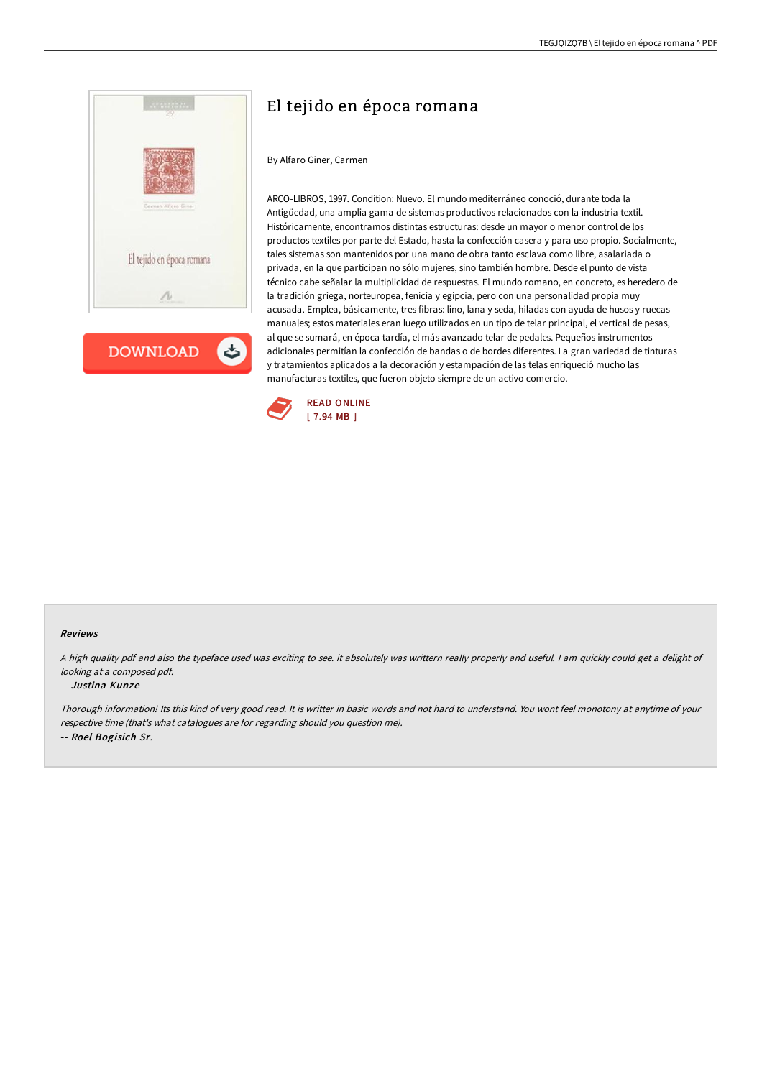



# El tejido en época romana

### By Alfaro Giner, Carmen

ARCO-LIBROS, 1997. Condition: Nuevo. El mundo mediterráneo conoció, durante toda la Antigüedad, una amplia gama de sistemas productivos relacionados con la industria textil. Históricamente, encontramos distintas estructuras: desde un mayor o menor control de los productos textiles por parte del Estado, hasta la confección casera y para uso propio. Socialmente, tales sistemas son mantenidos por una mano de obra tanto esclava como libre, asalariada o privada, en la que participan no sólo mujeres, sino también hombre. Desde el punto de vista técnico cabe señalar la multiplicidad de respuestas. El mundo romano, en concreto, es heredero de la tradición griega, norteuropea, fenicia y egipcia, pero con una personalidad propia muy acusada. Emplea, básicamente, tres fibras: lino, lana y seda, hiladas con ayuda de husos y ruecas manuales; estos materiales eran luego utilizados en un tipo de telar principal, el vertical de pesas, al que se sumará, en época tardía, el más avanzado telar de pedales. Pequeños instrumentos adicionales permitían la confección de bandas o de bordes diferentes. La gran variedad de tinturas y tratamientos aplicados a la decoración y estampación de las telas enriqueció mucho las manufacturas textiles, que fueron objeto siempre de un activo comercio.



#### Reviews

<sup>A</sup> high quality pdf and also the typeface used was exciting to see. it absolutely was writtern really properly and useful. <sup>I</sup> am quickly could get <sup>a</sup> delight of looking at <sup>a</sup> composed pdf.

#### -- Justina Kunze

Thorough information! Its this kind of very good read. It is writter in basic words and not hard to understand. You wont feel monotony at anytime of your respective time (that's what catalogues are for regarding should you question me). -- Roel Bogisich Sr.